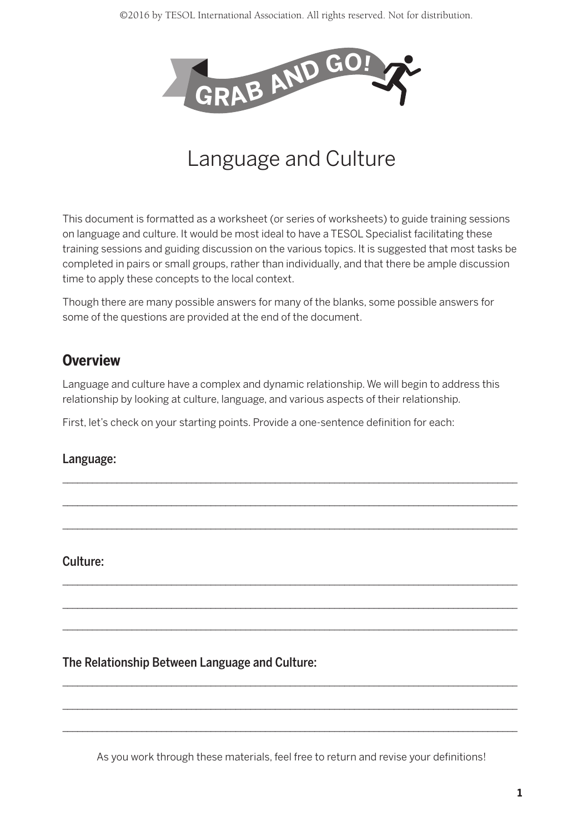

# Language and Culture

This document is formatted as a worksheet (or series of worksheets) to guide training sessions on language and culture. It would be most ideal to have a TESOL Specialist facilitating these training sessions and guiding discussion on the various topics. It is suggested that most tasks be completed in pairs or small groups, rather than individually, and that there be ample discussion time to apply these concepts to the local context.

Though there are many possible answers for many of the blanks, some possible answers for some of the questions are provided at the end of the document.

## **Overview**

Language and culture have a complex and dynamic relationship. We will begin to address this relationship by looking at culture, language, and various aspects of their relationship.

\_\_\_\_\_\_\_\_\_\_\_\_\_\_\_\_\_\_\_\_\_\_\_\_\_\_\_\_\_\_\_\_\_\_\_\_\_\_\_\_\_\_\_\_\_\_\_\_\_\_\_\_\_\_\_\_\_\_\_\_\_\_\_\_\_\_\_\_\_\_\_\_\_\_\_\_\_\_\_\_\_\_\_\_\_\_\_\_\_\_\_\_  $\_$  , and the set of the set of the set of the set of the set of the set of the set of the set of the set of the set of the set of the set of the set of the set of the set of the set of the set of the set of the set of th  $\_$  , and the set of the set of the set of the set of the set of the set of the set of the set of the set of the set of the set of the set of the set of the set of the set of the set of the set of the set of the set of th

\_\_\_\_\_\_\_\_\_\_\_\_\_\_\_\_\_\_\_\_\_\_\_\_\_\_\_\_\_\_\_\_\_\_\_\_\_\_\_\_\_\_\_\_\_\_\_\_\_\_\_\_\_\_\_\_\_\_\_\_\_\_\_\_\_\_\_\_\_\_\_\_\_\_\_\_\_\_\_\_\_\_\_\_\_\_\_\_\_\_\_\_  $\_$  , and the set of the set of the set of the set of the set of the set of the set of the set of the set of the set of the set of the set of the set of the set of the set of the set of the set of the set of the set of th \_\_\_\_\_\_\_\_\_\_\_\_\_\_\_\_\_\_\_\_\_\_\_\_\_\_\_\_\_\_\_\_\_\_\_\_\_\_\_\_\_\_\_\_\_\_\_\_\_\_\_\_\_\_\_\_\_\_\_\_\_\_\_\_\_\_\_\_\_\_\_\_\_\_\_\_\_\_\_\_\_\_\_\_\_\_\_\_\_\_\_\_

First, let's check on your starting points. Provide a one-sentence definition for each:

#### Language:

Culture:

#### The Relationship Between Language and Culture:

As you work through these materials, feel free to return and revise your definitions!

 $\_$  , and the set of the set of the set of the set of the set of the set of the set of the set of the set of the set of the set of the set of the set of the set of the set of the set of the set of the set of the set of th  $\_$  , and the set of the set of the set of the set of the set of the set of the set of the set of the set of the set of the set of the set of the set of the set of the set of the set of the set of the set of the set of th  $\_$  , and the set of the set of the set of the set of the set of the set of the set of the set of the set of the set of the set of the set of the set of the set of the set of the set of the set of the set of the set of th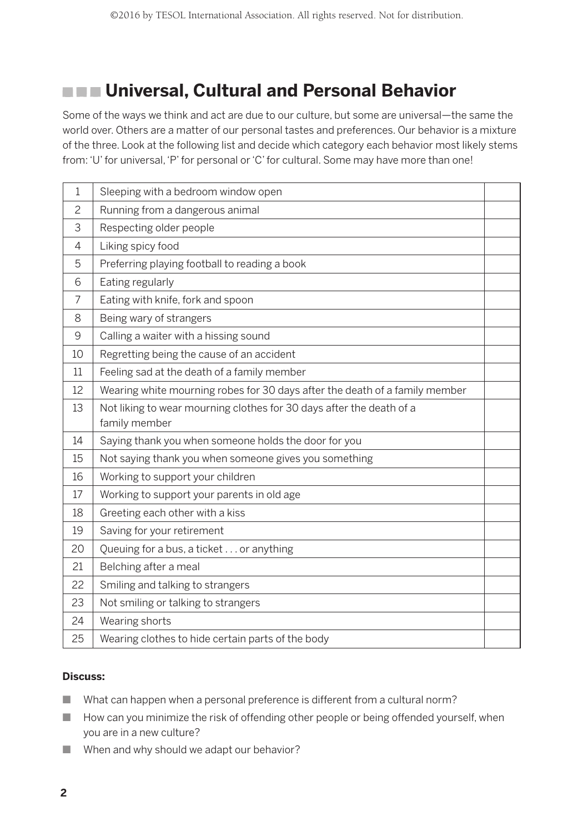## **EXECUTE: Universal, Cultural and Personal Behavior**

Some of the ways we think and act are due to our culture, but some are universal—the same the world over. Others are a matter of our personal tastes and preferences. Our behavior is a mixture of the three. Look at the following list and decide which category each behavior most likely stems from: 'U' for universal, 'P' for personal or 'C' for cultural. Some may have more than one!

| $\mathbf{1}$   | Sleeping with a bedroom window open                                                   |  |
|----------------|---------------------------------------------------------------------------------------|--|
| 2              | Running from a dangerous animal                                                       |  |
| 3              | Respecting older people                                                               |  |
| 4              | Liking spicy food                                                                     |  |
| 5              | Preferring playing football to reading a book                                         |  |
| 6              | Eating regularly                                                                      |  |
| $\overline{7}$ | Eating with knife, fork and spoon                                                     |  |
| 8              | Being wary of strangers                                                               |  |
| 9              | Calling a waiter with a hissing sound                                                 |  |
| 10             | Regretting being the cause of an accident                                             |  |
| 11             | Feeling sad at the death of a family member                                           |  |
| 12             | Wearing white mourning robes for 30 days after the death of a family member           |  |
| 13             | Not liking to wear mourning clothes for 30 days after the death of a<br>family member |  |
| 14             | Saying thank you when someone holds the door for you                                  |  |
| 15             | Not saying thank you when someone gives you something                                 |  |
| 16             | Working to support your children                                                      |  |
| 17             | Working to support your parents in old age                                            |  |
| 18             | Greeting each other with a kiss                                                       |  |
| 19             | Saving for your retirement                                                            |  |
| 20             | Queuing for a bus, a ticket or anything                                               |  |
| 21             | Belching after a meal                                                                 |  |
| 22             | Smiling and talking to strangers                                                      |  |
| 23             | Not smiling or talking to strangers                                                   |  |
| 24             | Wearing shorts                                                                        |  |
| 25             | Wearing clothes to hide certain parts of the body                                     |  |

#### **Discuss:**

- $\blacksquare$  What can happen when a personal preference is different from a cultural norm?
- **n** How can you minimize the risk of offending other people or being offended yourself, when you are in a new culture?
- $\blacksquare$  When and why should we adapt our behavior?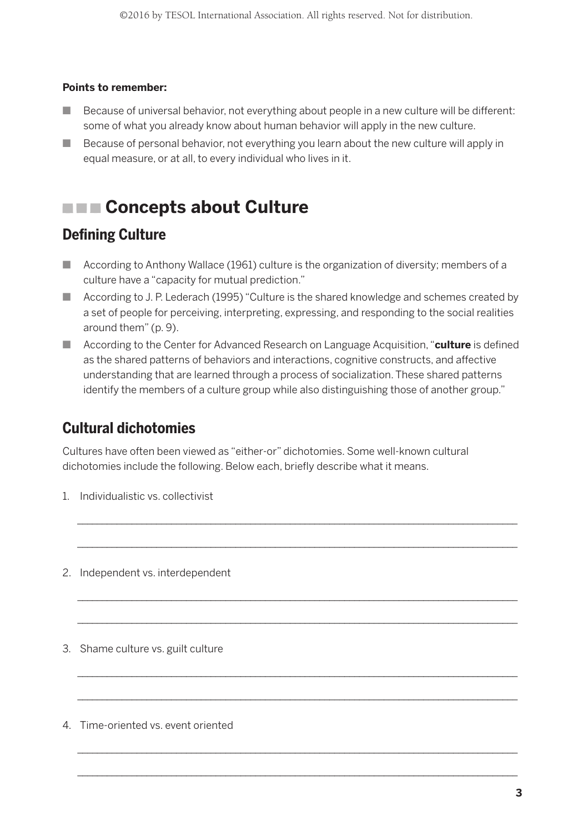#### **Points to remember:**

- $\Box$  Because of universal behavior, not everything about people in a new culture will be different: some of what you already know about human behavior will apply in the new culture.
- **n** Because of personal behavior, not everything you learn about the new culture will apply in equal measure, or at all, to every individual who lives in it.

## **EXECONCEPTS about Culture**

### **Defining Culture**

- **n** According to Anthony Wallace (1961) culture is the organization of diversity; members of a culture have a "capacity for mutual prediction."
- According to J. P. Lederach (1995) "Culture is the shared knowledge and schemes created by a set of people for perceiving, interpreting, expressing, and responding to the social realities around them" (p. 9).
- According to the Center for Advanced Research on Language Acquisition, "**culture** is defined as the shared patterns of behaviors and interactions, cognitive constructs, and affective understanding that are learned through a process of socialization. These shared patterns identify the members of a culture group while also distinguishing those of another group."

\_\_\_\_\_\_\_\_\_\_\_\_\_\_\_\_\_\_\_\_\_\_\_\_\_\_\_\_\_\_\_\_\_\_\_\_\_\_\_\_\_\_\_\_\_\_\_\_\_\_\_\_\_\_\_\_\_\_\_\_\_\_\_\_\_\_\_\_\_\_\_\_\_\_\_\_\_\_\_\_\_\_\_\_\_\_\_\_\_ \_\_\_\_\_\_\_\_\_\_\_\_\_\_\_\_\_\_\_\_\_\_\_\_\_\_\_\_\_\_\_\_\_\_\_\_\_\_\_\_\_\_\_\_\_\_\_\_\_\_\_\_\_\_\_\_\_\_\_\_\_\_\_\_\_\_\_\_\_\_\_\_\_\_\_\_\_\_\_\_\_\_\_\_\_\_\_\_\_

\_\_\_\_\_\_\_\_\_\_\_\_\_\_\_\_\_\_\_\_\_\_\_\_\_\_\_\_\_\_\_\_\_\_\_\_\_\_\_\_\_\_\_\_\_\_\_\_\_\_\_\_\_\_\_\_\_\_\_\_\_\_\_\_\_\_\_\_\_\_\_\_\_\_\_\_\_\_\_\_\_\_\_\_\_\_\_\_\_ \_\_\_\_\_\_\_\_\_\_\_\_\_\_\_\_\_\_\_\_\_\_\_\_\_\_\_\_\_\_\_\_\_\_\_\_\_\_\_\_\_\_\_\_\_\_\_\_\_\_\_\_\_\_\_\_\_\_\_\_\_\_\_\_\_\_\_\_\_\_\_\_\_\_\_\_\_\_\_\_\_\_\_\_\_\_\_\_\_

\_\_\_\_\_\_\_\_\_\_\_\_\_\_\_\_\_\_\_\_\_\_\_\_\_\_\_\_\_\_\_\_\_\_\_\_\_\_\_\_\_\_\_\_\_\_\_\_\_\_\_\_\_\_\_\_\_\_\_\_\_\_\_\_\_\_\_\_\_\_\_\_\_\_\_\_\_\_\_\_\_\_\_\_\_\_\_\_\_ \_\_\_\_\_\_\_\_\_\_\_\_\_\_\_\_\_\_\_\_\_\_\_\_\_\_\_\_\_\_\_\_\_\_\_\_\_\_\_\_\_\_\_\_\_\_\_\_\_\_\_\_\_\_\_\_\_\_\_\_\_\_\_\_\_\_\_\_\_\_\_\_\_\_\_\_\_\_\_\_\_\_\_\_\_\_\_\_\_

\_\_\_\_\_\_\_\_\_\_\_\_\_\_\_\_\_\_\_\_\_\_\_\_\_\_\_\_\_\_\_\_\_\_\_\_\_\_\_\_\_\_\_\_\_\_\_\_\_\_\_\_\_\_\_\_\_\_\_\_\_\_\_\_\_\_\_\_\_\_\_\_\_\_\_\_\_\_\_\_\_\_\_\_\_\_\_\_\_ \_\_\_\_\_\_\_\_\_\_\_\_\_\_\_\_\_\_\_\_\_\_\_\_\_\_\_\_\_\_\_\_\_\_\_\_\_\_\_\_\_\_\_\_\_\_\_\_\_\_\_\_\_\_\_\_\_\_\_\_\_\_\_\_\_\_\_\_\_\_\_\_\_\_\_\_\_\_\_\_\_\_\_\_\_\_\_\_\_

### **Cultural dichotomies**

Cultures have often been viewed as "either-or" dichotomies. Some well-known cultural dichotomies include the following. Below each, briefly describe what it means.

- 1. Individualistic vs. collectivist
- 2. Independent vs. interdependent
- 3. Shame culture vs. guilt culture
- 4. Time-oriented vs. event oriented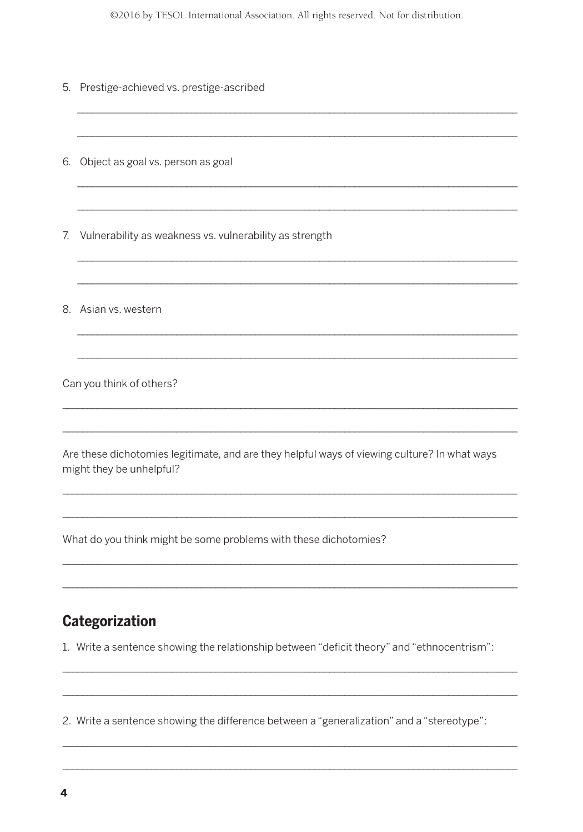©2016 by TESOL International Association. All rights reserved. Not for distribution.

5. Prestige-achieved vs. prestige-ascribed

6. Object as goal vs. person as goal

7. Vulnerability as weakness vs. vulnerability as strength

8. Asian vs. western

Can you think of others?

Are these dichotomies legitimate, and are they helpful ways of viewing culture? In what ways might they be unhelpful?

What do you think might be some problems with these dichotomies?

### Categorization

1. Write a sentence showing the relationship between "deficit theory" and "ethnocentrism":

2. Write a sentence showing the difference between a "generalization" and a "stereotype":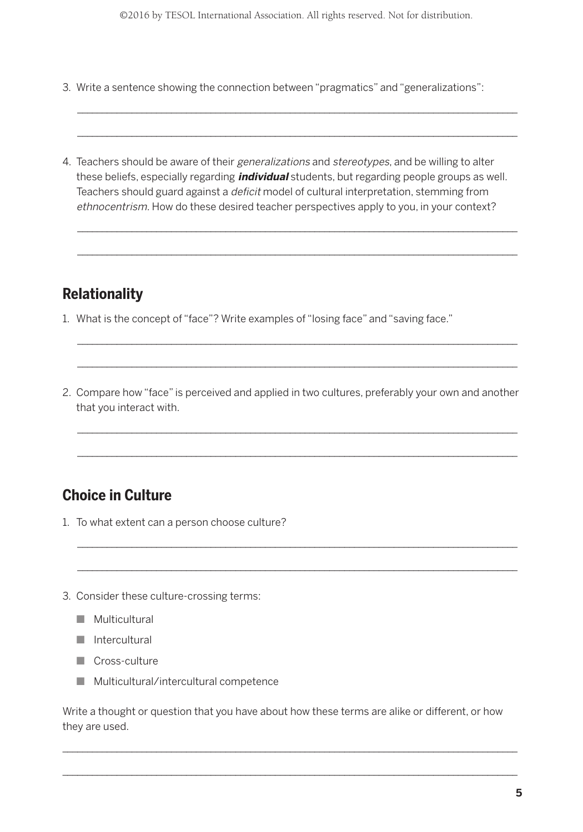\_\_\_\_\_\_\_\_\_\_\_\_\_\_\_\_\_\_\_\_\_\_\_\_\_\_\_\_\_\_\_\_\_\_\_\_\_\_\_\_\_\_\_\_\_\_\_\_\_\_\_\_\_\_\_\_\_\_\_\_\_\_\_\_\_\_\_\_\_\_\_\_\_\_\_\_\_\_\_\_\_\_\_\_\_\_\_\_\_ \_\_\_\_\_\_\_\_\_\_\_\_\_\_\_\_\_\_\_\_\_\_\_\_\_\_\_\_\_\_\_\_\_\_\_\_\_\_\_\_\_\_\_\_\_\_\_\_\_\_\_\_\_\_\_\_\_\_\_\_\_\_\_\_\_\_\_\_\_\_\_\_\_\_\_\_\_\_\_\_\_\_\_\_\_\_\_\_\_

- 3. Write a sentence showing the connection between "pragmatics" and "generalizations":
- 4. Teachers should be aware of their generalizations and stereotypes, and be willing to alter these beliefs, especially regarding **individual** students, but regarding people groups as well. Teachers should guard against a *deficit* model of cultural interpretation, stemming from ethnocentrism. How do these desired teacher perspectives apply to you, in your context?

\_\_\_\_\_\_\_\_\_\_\_\_\_\_\_\_\_\_\_\_\_\_\_\_\_\_\_\_\_\_\_\_\_\_\_\_\_\_\_\_\_\_\_\_\_\_\_\_\_\_\_\_\_\_\_\_\_\_\_\_\_\_\_\_\_\_\_\_\_\_\_\_\_\_\_\_\_\_\_\_\_\_\_\_\_\_\_\_\_ \_\_\_\_\_\_\_\_\_\_\_\_\_\_\_\_\_\_\_\_\_\_\_\_\_\_\_\_\_\_\_\_\_\_\_\_\_\_\_\_\_\_\_\_\_\_\_\_\_\_\_\_\_\_\_\_\_\_\_\_\_\_\_\_\_\_\_\_\_\_\_\_\_\_\_\_\_\_\_\_\_\_\_\_\_\_\_\_\_

## **Relationality**

- 1. What is the concept of "face"? Write examples of "losing face" and "saving face."
- 2. Compare how "face" is perceived and applied in two cultures, preferably your own and another that you interact with.

\_\_\_\_\_\_\_\_\_\_\_\_\_\_\_\_\_\_\_\_\_\_\_\_\_\_\_\_\_\_\_\_\_\_\_\_\_\_\_\_\_\_\_\_\_\_\_\_\_\_\_\_\_\_\_\_\_\_\_\_\_\_\_\_\_\_\_\_\_\_\_\_\_\_\_\_\_\_\_\_\_\_\_\_\_\_\_\_\_ \_\_\_\_\_\_\_\_\_\_\_\_\_\_\_\_\_\_\_\_\_\_\_\_\_\_\_\_\_\_\_\_\_\_\_\_\_\_\_\_\_\_\_\_\_\_\_\_\_\_\_\_\_\_\_\_\_\_\_\_\_\_\_\_\_\_\_\_\_\_\_\_\_\_\_\_\_\_\_\_\_\_\_\_\_\_\_\_\_

\_\_\_\_\_\_\_\_\_\_\_\_\_\_\_\_\_\_\_\_\_\_\_\_\_\_\_\_\_\_\_\_\_\_\_\_\_\_\_\_\_\_\_\_\_\_\_\_\_\_\_\_\_\_\_\_\_\_\_\_\_\_\_\_\_\_\_\_\_\_\_\_\_\_\_\_\_\_\_\_\_\_\_\_\_\_\_\_\_ \_\_\_\_\_\_\_\_\_\_\_\_\_\_\_\_\_\_\_\_\_\_\_\_\_\_\_\_\_\_\_\_\_\_\_\_\_\_\_\_\_\_\_\_\_\_\_\_\_\_\_\_\_\_\_\_\_\_\_\_\_\_\_\_\_\_\_\_\_\_\_\_\_\_\_\_\_\_\_\_\_\_\_\_\_\_\_\_\_

\_\_\_\_\_\_\_\_\_\_\_\_\_\_\_\_\_\_\_\_\_\_\_\_\_\_\_\_\_\_\_\_\_\_\_\_\_\_\_\_\_\_\_\_\_\_\_\_\_\_\_\_\_\_\_\_\_\_\_\_\_\_\_\_\_\_\_\_\_\_\_\_\_\_\_\_\_\_\_\_\_\_\_\_\_\_\_\_\_ \_\_\_\_\_\_\_\_\_\_\_\_\_\_\_\_\_\_\_\_\_\_\_\_\_\_\_\_\_\_\_\_\_\_\_\_\_\_\_\_\_\_\_\_\_\_\_\_\_\_\_\_\_\_\_\_\_\_\_\_\_\_\_\_\_\_\_\_\_\_\_\_\_\_\_\_\_\_\_\_\_\_\_\_\_\_\_\_\_

## **Choice in Culture**

- 1. To what extent can a person choose culture?
- 3. Consider these culture-crossing terms:
	- $\blacksquare$  Multicultural
	- $\blacksquare$  Intercultural
	- **n** Cross-culture
	- $\blacksquare$  Multicultural/intercultural competence

Write a thought or question that you have about how these terms are alike or different, or how they are used.

\_\_\_\_\_\_\_\_\_\_\_\_\_\_\_\_\_\_\_\_\_\_\_\_\_\_\_\_\_\_\_\_\_\_\_\_\_\_\_\_\_\_\_\_\_\_\_\_\_\_\_\_\_\_\_\_\_\_\_\_\_\_\_\_\_\_\_\_\_\_\_\_\_\_\_\_\_\_\_\_\_\_\_\_\_\_\_\_\_\_\_\_  $\_$  , and the set of the set of the set of the set of the set of the set of the set of the set of the set of the set of the set of the set of the set of the set of the set of the set of the set of the set of the set of th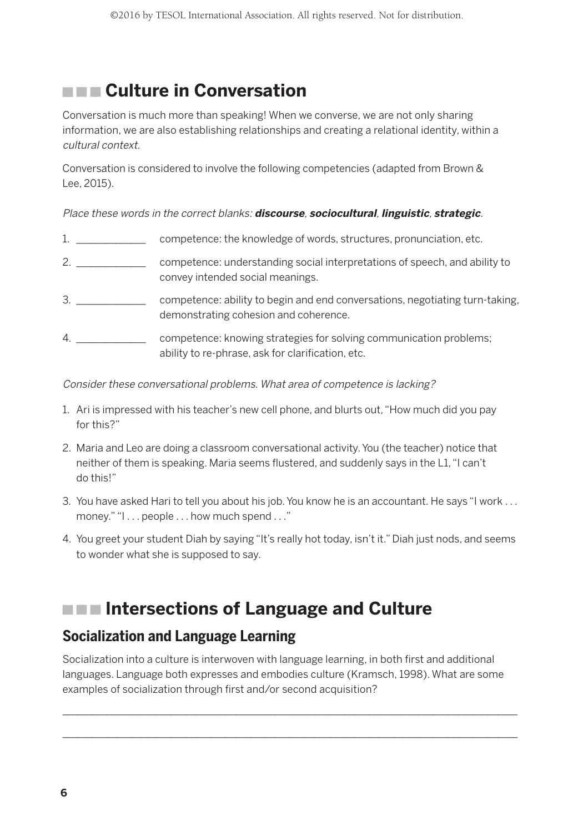## **Culture in Conversation**

Conversation is much more than speaking! When we converse, we are not only sharing information, we are also establishing relationships and creating a relational identity, within a cultural context.

Conversation is considered to involve the following competencies (adapted from Brown & Lee, 2015).

Place these words in the correct blanks: **discourse**, **sociocultural**, **linguistic**, **strategic**.

- 1. \_\_\_\_\_\_\_\_\_\_\_\_\_\_ competence: the knowledge of words, structures, pronunciation, etc.
- 2. \_\_\_\_\_\_\_\_\_\_\_\_\_\_ competence: understanding social interpretations of speech, and ability to convey intended social meanings.
- 3. \_\_\_\_\_\_\_\_\_\_\_\_\_\_\_\_\_\_ competence: ability to begin and end conversations, negotiating turn-taking, demonstrating cohesion and coherence.
- 4. \_\_\_\_\_\_\_\_\_\_\_\_\_\_ competence: knowing strategies for solving communication problems; ability to re-phrase, ask for clarification, etc.

Consider these conversational problems. What area of competence is lacking?

- 1. Ari is impressed with his teacher's new cell phone, and blurts out, "How much did you pay for this?"
- 2. Maria and Leo are doing a classroom conversational activity. You (the teacher) notice that neither of them is speaking. Maria seems flustered, and suddenly says in the L1, "I can't do this!"
- 3. You have asked Hari to tell you about his job. You know he is an accountant. He says "I work . . . money." "I . . . people . . . how much spend . . ."
- 4. You greet your student Diah by saying "It's really hot today, isn't it." Diah just nods, and seems to wonder what she is supposed to say.

## **INDEE Intersections of Language and Culture**

### **Socialization and Language Learning**

Socialization into a culture is interwoven with language learning, in both first and additional languages. Language both expresses and embodies culture (Kramsch, 1998). What are some examples of socialization through first and/or second acquisition?

 $\_$  , and the set of the set of the set of the set of the set of the set of the set of the set of the set of the set of the set of the set of the set of the set of the set of the set of the set of the set of the set of th  $\_$  , and the set of the set of the set of the set of the set of the set of the set of the set of the set of the set of the set of the set of the set of the set of the set of the set of the set of the set of the set of th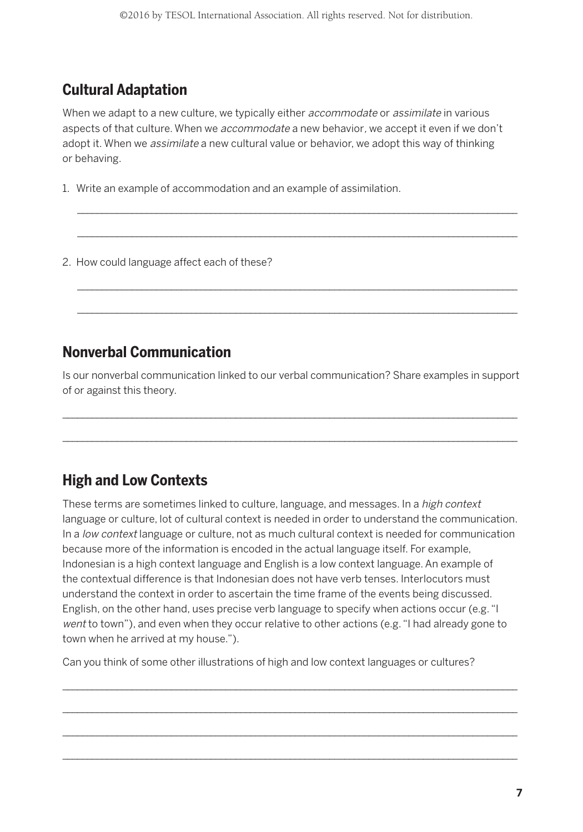## **Cultural Adaptation**

When we adapt to a new culture, we typically either *accommodate* or *assimilate* in various aspects of that culture. When we *accommodate* a new behavior, we accept it even if we don't adopt it. When we *assimilate* a new cultural value or behavior, we adopt this way of thinking or behaving.

 $\ldots$  . The contribution of the contribution of the contribution of the contribution of the contribution of the contribution of the contribution of the contribution of the contribution of the contribution of the contribut \_\_\_\_\_\_\_\_\_\_\_\_\_\_\_\_\_\_\_\_\_\_\_\_\_\_\_\_\_\_\_\_\_\_\_\_\_\_\_\_\_\_\_\_\_\_\_\_\_\_\_\_\_\_\_\_\_\_\_\_\_\_\_\_\_\_\_\_\_\_\_\_\_\_\_\_\_\_\_\_\_\_\_\_\_\_\_\_\_

 $\ldots$  . The contribution of the contribution of the contribution of the contribution of the contribution of the contribution of the contribution of the contribution of the contribution of the contribution of the contribut \_\_\_\_\_\_\_\_\_\_\_\_\_\_\_\_\_\_\_\_\_\_\_\_\_\_\_\_\_\_\_\_\_\_\_\_\_\_\_\_\_\_\_\_\_\_\_\_\_\_\_\_\_\_\_\_\_\_\_\_\_\_\_\_\_\_\_\_\_\_\_\_\_\_\_\_\_\_\_\_\_\_\_\_\_\_\_\_\_

1. Write an example of accommodation and an example of assimilation.

2. How could language affect each of these?

### **Nonverbal Communication**

Is our nonverbal communication linked to our verbal communication? Share examples in support of or against this theory.

 $\_$  , and the set of the set of the set of the set of the set of the set of the set of the set of the set of the set of the set of the set of the set of the set of the set of the set of the set of the set of the set of th \_\_\_\_\_\_\_\_\_\_\_\_\_\_\_\_\_\_\_\_\_\_\_\_\_\_\_\_\_\_\_\_\_\_\_\_\_\_\_\_\_\_\_\_\_\_\_\_\_\_\_\_\_\_\_\_\_\_\_\_\_\_\_\_\_\_\_\_\_\_\_\_\_\_\_\_\_\_\_\_\_\_\_\_\_\_\_\_\_\_\_\_

## **High and Low Contexts**

These terms are sometimes linked to culture, language, and messages. In a high context language or culture, lot of cultural context is needed in order to understand the communication. In a low context language or culture, not as much cultural context is needed for communication because more of the information is encoded in the actual language itself. For example, Indonesian is a high context language and English is a low context language. An example of the contextual difference is that Indonesian does not have verb tenses. Interlocutors must understand the context in order to ascertain the time frame of the events being discussed. English, on the other hand, uses precise verb language to specify when actions occur (e.g. "I went to town"), and even when they occur relative to other actions (e.g. "I had already gone to town when he arrived at my house.").

\_\_\_\_\_\_\_\_\_\_\_\_\_\_\_\_\_\_\_\_\_\_\_\_\_\_\_\_\_\_\_\_\_\_\_\_\_\_\_\_\_\_\_\_\_\_\_\_\_\_\_\_\_\_\_\_\_\_\_\_\_\_\_\_\_\_\_\_\_\_\_\_\_\_\_\_\_\_\_\_\_\_\_\_\_\_\_\_\_\_\_\_ \_\_\_\_\_\_\_\_\_\_\_\_\_\_\_\_\_\_\_\_\_\_\_\_\_\_\_\_\_\_\_\_\_\_\_\_\_\_\_\_\_\_\_\_\_\_\_\_\_\_\_\_\_\_\_\_\_\_\_\_\_\_\_\_\_\_\_\_\_\_\_\_\_\_\_\_\_\_\_\_\_\_\_\_\_\_\_\_\_\_\_\_ \_\_\_\_\_\_\_\_\_\_\_\_\_\_\_\_\_\_\_\_\_\_\_\_\_\_\_\_\_\_\_\_\_\_\_\_\_\_\_\_\_\_\_\_\_\_\_\_\_\_\_\_\_\_\_\_\_\_\_\_\_\_\_\_\_\_\_\_\_\_\_\_\_\_\_\_\_\_\_\_\_\_\_\_\_\_\_\_\_\_\_\_ \_\_\_\_\_\_\_\_\_\_\_\_\_\_\_\_\_\_\_\_\_\_\_\_\_\_\_\_\_\_\_\_\_\_\_\_\_\_\_\_\_\_\_\_\_\_\_\_\_\_\_\_\_\_\_\_\_\_\_\_\_\_\_\_\_\_\_\_\_\_\_\_\_\_\_\_\_\_\_\_\_\_\_\_\_\_\_\_\_\_\_\_

Can you think of some other illustrations of high and low context languages or cultures?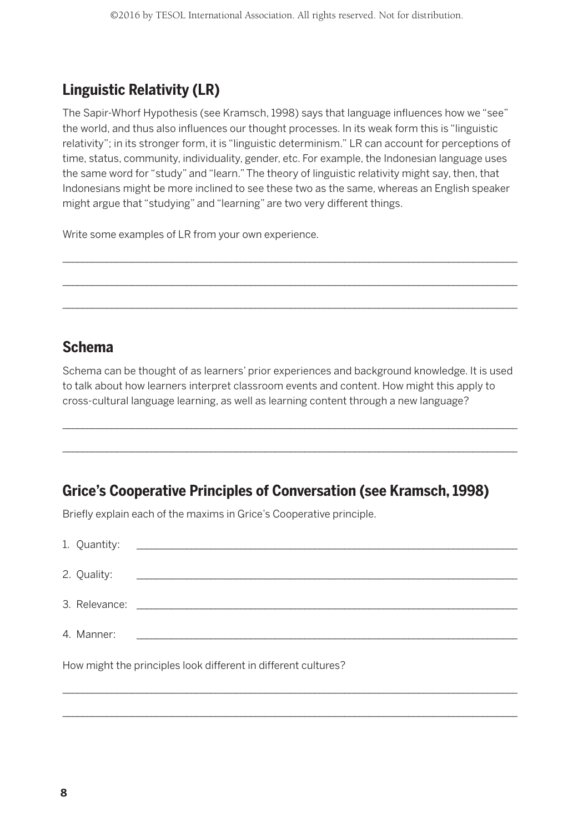## **Linguistic Relativity (LR)**

The Sapir-Whorf Hypothesis (see Kramsch, 1998) says that language influences how we "see" the world, and thus also influences our thought processes. In its weak form this is "linguistic relativity"; in its stronger form, it is "linguistic determinism." LR can account for perceptions of time, status, community, individuality, gender, etc. For example, the Indonesian language uses the same word for "study" and "learn." The theory of linguistic relativity might say, then, that Indonesians might be more inclined to see these two as the same, whereas an English speaker might argue that "studying" and "learning" are two very different things.

 $\_$  , and the set of the set of the set of the set of the set of the set of the set of the set of the set of the set of the set of the set of the set of the set of the set of the set of the set of the set of the set of th \_\_\_\_\_\_\_\_\_\_\_\_\_\_\_\_\_\_\_\_\_\_\_\_\_\_\_\_\_\_\_\_\_\_\_\_\_\_\_\_\_\_\_\_\_\_\_\_\_\_\_\_\_\_\_\_\_\_\_\_\_\_\_\_\_\_\_\_\_\_\_\_\_\_\_\_\_\_\_\_\_\_\_\_\_\_\_\_\_\_\_\_  $\_$  , and the set of the set of the set of the set of the set of the set of the set of the set of the set of the set of the set of the set of the set of the set of the set of the set of the set of the set of the set of th

Write some examples of LR from your own experience.

### **Schema**

Schema can be thought of as learners' prior experiences and background knowledge. It is used to talk about how learners interpret classroom events and content. How might this apply to cross-cultural language learning, as well as learning content through a new language?

 $\_$  , and the set of the set of the set of the set of the set of the set of the set of the set of the set of the set of the set of the set of the set of the set of the set of the set of the set of the set of the set of th \_\_\_\_\_\_\_\_\_\_\_\_\_\_\_\_\_\_\_\_\_\_\_\_\_\_\_\_\_\_\_\_\_\_\_\_\_\_\_\_\_\_\_\_\_\_\_\_\_\_\_\_\_\_\_\_\_\_\_\_\_\_\_\_\_\_\_\_\_\_\_\_\_\_\_\_\_\_\_\_\_\_\_\_\_\_\_\_\_\_\_\_

### **Grice's Cooperative Principles of Conversation (see Kramsch, 1998)**

Briefly explain each of the maxims in Grice's Cooperative principle.

| How might the principles look different in different cultures? |  |  |  |
|----------------------------------------------------------------|--|--|--|

 $\_$  , and the set of the set of the set of the set of the set of the set of the set of the set of the set of the set of the set of the set of the set of the set of the set of the set of the set of the set of the set of th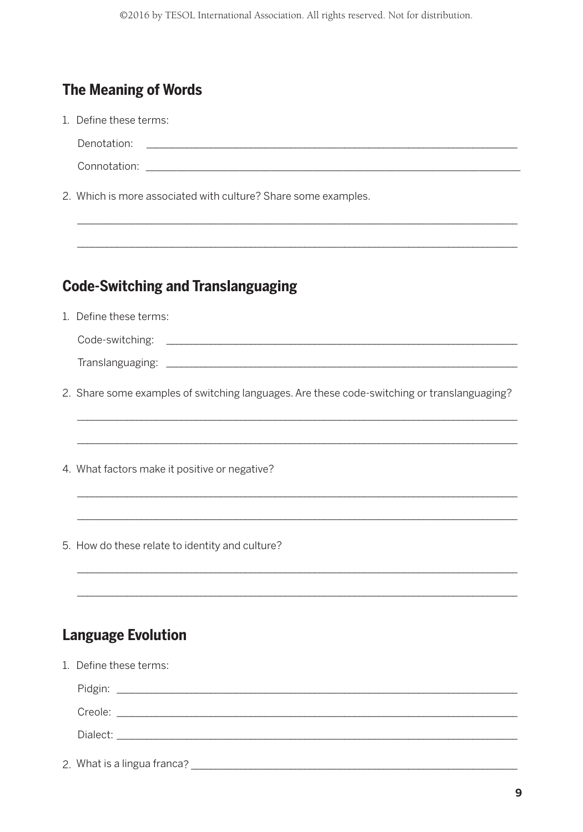# **The Meaning of Words**

|  | 1. Define these terms:                                                                      |  |  |
|--|---------------------------------------------------------------------------------------------|--|--|
|  | Denotation:<br><u> 1990 - Johann John Stein, mars an deus Amerikaansk kommunister (</u>     |  |  |
|  |                                                                                             |  |  |
|  | 2. Which is more associated with culture? Share some examples.                              |  |  |
|  | <b>Code-Switching and Translanguaging</b>                                                   |  |  |
|  |                                                                                             |  |  |
|  | 1. Define these terms:                                                                      |  |  |
|  |                                                                                             |  |  |
|  |                                                                                             |  |  |
|  | 2. Share some examples of switching languages. Are these code-switching or translanguaging? |  |  |
|  | 4. What factors make it positive or negative?                                               |  |  |
|  | 5. How do these relate to identity and culture?                                             |  |  |
|  | <b>Language Evolution</b>                                                                   |  |  |
|  | 1. Define these terms:                                                                      |  |  |
|  |                                                                                             |  |  |
|  |                                                                                             |  |  |
|  |                                                                                             |  |  |
|  |                                                                                             |  |  |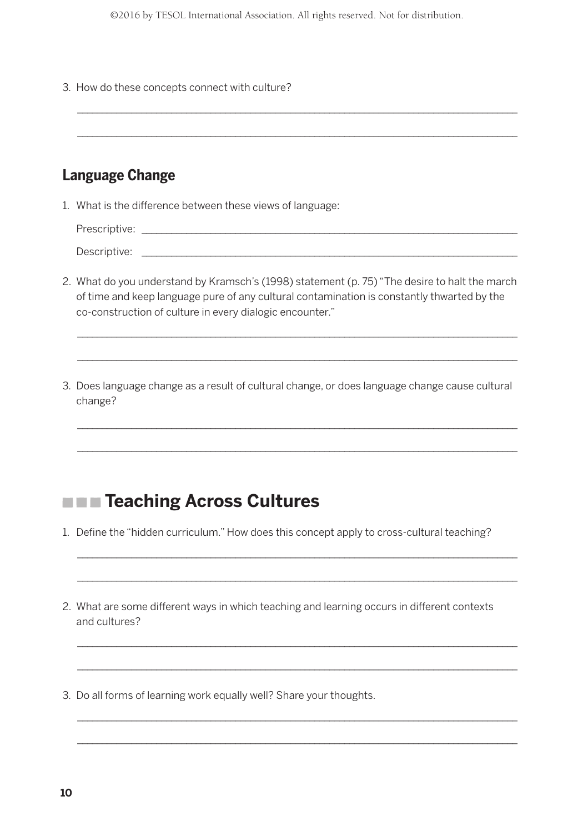3. How do these concepts connect with culture?

## **Language Change**

1. What is the difference between these views of language:

Prescriptive: \_\_\_\_\_\_\_\_\_\_\_\_\_\_\_\_\_\_\_\_\_\_\_\_\_\_\_\_\_\_\_\_\_\_\_\_\_\_\_\_\_\_\_\_\_\_\_\_\_\_\_\_\_\_\_\_\_\_\_\_\_\_\_\_\_\_\_\_\_\_\_\_\_\_\_\_ Descriptive: \_\_\_\_\_\_\_\_\_\_\_\_\_\_\_\_\_\_\_\_\_\_\_\_\_\_\_\_\_\_\_\_\_\_\_\_\_\_\_\_\_\_\_\_\_\_\_\_\_\_\_\_\_\_\_\_\_\_\_\_\_\_\_\_\_\_\_\_\_\_\_\_\_\_\_\_

\_\_\_\_\_\_\_\_\_\_\_\_\_\_\_\_\_\_\_\_\_\_\_\_\_\_\_\_\_\_\_\_\_\_\_\_\_\_\_\_\_\_\_\_\_\_\_\_\_\_\_\_\_\_\_\_\_\_\_\_\_\_\_\_\_\_\_\_\_\_\_\_\_\_\_\_\_\_\_\_\_\_\_\_\_\_\_\_\_ \_\_\_\_\_\_\_\_\_\_\_\_\_\_\_\_\_\_\_\_\_\_\_\_\_\_\_\_\_\_\_\_\_\_\_\_\_\_\_\_\_\_\_\_\_\_\_\_\_\_\_\_\_\_\_\_\_\_\_\_\_\_\_\_\_\_\_\_\_\_\_\_\_\_\_\_\_\_\_\_\_\_\_\_\_\_\_\_\_

2. What do you understand by Kramsch's (1998) statement (p. 75) "The desire to halt the march of time and keep language pure of any cultural contamination is constantly thwarted by the co-construction of culture in every dialogic encounter."

\_\_\_\_\_\_\_\_\_\_\_\_\_\_\_\_\_\_\_\_\_\_\_\_\_\_\_\_\_\_\_\_\_\_\_\_\_\_\_\_\_\_\_\_\_\_\_\_\_\_\_\_\_\_\_\_\_\_\_\_\_\_\_\_\_\_\_\_\_\_\_\_\_\_\_\_\_\_\_\_\_\_\_\_\_\_\_\_\_ \_\_\_\_\_\_\_\_\_\_\_\_\_\_\_\_\_\_\_\_\_\_\_\_\_\_\_\_\_\_\_\_\_\_\_\_\_\_\_\_\_\_\_\_\_\_\_\_\_\_\_\_\_\_\_\_\_\_\_\_\_\_\_\_\_\_\_\_\_\_\_\_\_\_\_\_\_\_\_\_\_\_\_\_\_\_\_\_\_

3. Does language change as a result of cultural change, or does language change cause cultural change?

\_\_\_\_\_\_\_\_\_\_\_\_\_\_\_\_\_\_\_\_\_\_\_\_\_\_\_\_\_\_\_\_\_\_\_\_\_\_\_\_\_\_\_\_\_\_\_\_\_\_\_\_\_\_\_\_\_\_\_\_\_\_\_\_\_\_\_\_\_\_\_\_\_\_\_\_\_\_\_\_\_\_\_\_\_\_\_\_\_ \_\_\_\_\_\_\_\_\_\_\_\_\_\_\_\_\_\_\_\_\_\_\_\_\_\_\_\_\_\_\_\_\_\_\_\_\_\_\_\_\_\_\_\_\_\_\_\_\_\_\_\_\_\_\_\_\_\_\_\_\_\_\_\_\_\_\_\_\_\_\_\_\_\_\_\_\_\_\_\_\_\_\_\_\_\_\_\_\_

## **THE Teaching Across Cultures**

1. Define the "hidden curriculum." How does this concept apply to cross-cultural teaching?

\_\_\_\_\_\_\_\_\_\_\_\_\_\_\_\_\_\_\_\_\_\_\_\_\_\_\_\_\_\_\_\_\_\_\_\_\_\_\_\_\_\_\_\_\_\_\_\_\_\_\_\_\_\_\_\_\_\_\_\_\_\_\_\_\_\_\_\_\_\_\_\_\_\_\_\_\_\_\_\_\_\_\_\_\_\_\_\_\_ \_\_\_\_\_\_\_\_\_\_\_\_\_\_\_\_\_\_\_\_\_\_\_\_\_\_\_\_\_\_\_\_\_\_\_\_\_\_\_\_\_\_\_\_\_\_\_\_\_\_\_\_\_\_\_\_\_\_\_\_\_\_\_\_\_\_\_\_\_\_\_\_\_\_\_\_\_\_\_\_\_\_\_\_\_\_\_\_\_

\_\_\_\_\_\_\_\_\_\_\_\_\_\_\_\_\_\_\_\_\_\_\_\_\_\_\_\_\_\_\_\_\_\_\_\_\_\_\_\_\_\_\_\_\_\_\_\_\_\_\_\_\_\_\_\_\_\_\_\_\_\_\_\_\_\_\_\_\_\_\_\_\_\_\_\_\_\_\_\_\_\_\_\_\_\_\_\_\_ \_\_\_\_\_\_\_\_\_\_\_\_\_\_\_\_\_\_\_\_\_\_\_\_\_\_\_\_\_\_\_\_\_\_\_\_\_\_\_\_\_\_\_\_\_\_\_\_\_\_\_\_\_\_\_\_\_\_\_\_\_\_\_\_\_\_\_\_\_\_\_\_\_\_\_\_\_\_\_\_\_\_\_\_\_\_\_\_\_

\_\_\_\_\_\_\_\_\_\_\_\_\_\_\_\_\_\_\_\_\_\_\_\_\_\_\_\_\_\_\_\_\_\_\_\_\_\_\_\_\_\_\_\_\_\_\_\_\_\_\_\_\_\_\_\_\_\_\_\_\_\_\_\_\_\_\_\_\_\_\_\_\_\_\_\_\_\_\_\_\_\_\_\_\_\_\_\_\_ \_\_\_\_\_\_\_\_\_\_\_\_\_\_\_\_\_\_\_\_\_\_\_\_\_\_\_\_\_\_\_\_\_\_\_\_\_\_\_\_\_\_\_\_\_\_\_\_\_\_\_\_\_\_\_\_\_\_\_\_\_\_\_\_\_\_\_\_\_\_\_\_\_\_\_\_\_\_\_\_\_\_\_\_\_\_\_\_\_

2. What are some different ways in which teaching and learning occurs in different contexts and cultures?

3. Do all forms of learning work equally well? Share your thoughts.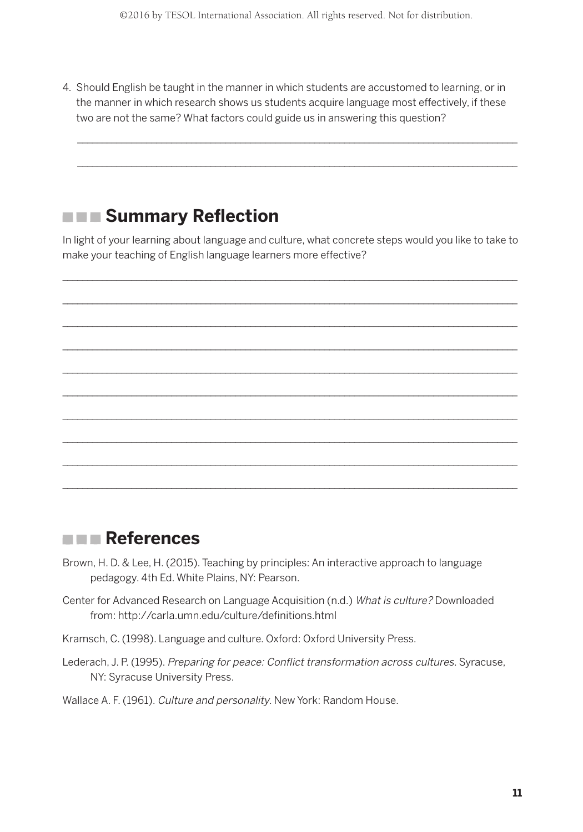4. Should English be taught in the manner in which students are accustomed to learning, or in the manner in which research shows us students acquire language most effectively, if these two are not the same? What factors could guide us in answering this question?

\_\_\_\_\_\_\_\_\_\_\_\_\_\_\_\_\_\_\_\_\_\_\_\_\_\_\_\_\_\_\_\_\_\_\_\_\_\_\_\_\_\_\_\_\_\_\_\_\_\_\_\_\_\_\_\_\_\_\_\_\_\_\_\_\_\_\_\_\_\_\_\_\_\_\_\_\_\_\_\_\_\_\_\_\_\_\_\_\_ \_\_\_\_\_\_\_\_\_\_\_\_\_\_\_\_\_\_\_\_\_\_\_\_\_\_\_\_\_\_\_\_\_\_\_\_\_\_\_\_\_\_\_\_\_\_\_\_\_\_\_\_\_\_\_\_\_\_\_\_\_\_\_\_\_\_\_\_\_\_\_\_\_\_\_\_\_\_\_\_\_\_\_\_\_\_\_\_\_

## **EXECUTE: Summary Reflection**

In light of your learning about language and culture, what concrete steps would you like to take to make your teaching of English language learners more effective?

\_\_\_\_\_\_\_\_\_\_\_\_\_\_\_\_\_\_\_\_\_\_\_\_\_\_\_\_\_\_\_\_\_\_\_\_\_\_\_\_\_\_\_\_\_\_\_\_\_\_\_\_\_\_\_\_\_\_\_\_\_\_\_\_\_\_\_\_\_\_\_\_\_\_\_\_\_\_\_\_\_\_\_\_\_\_\_\_\_\_\_\_  $\_$  , and the set of the set of the set of the set of the set of the set of the set of the set of the set of the set of the set of the set of the set of the set of the set of the set of the set of the set of the set of th  $\_$  , and the set of the set of the set of the set of the set of the set of the set of the set of the set of the set of the set of the set of the set of the set of the set of the set of the set of the set of the set of th \_\_\_\_\_\_\_\_\_\_\_\_\_\_\_\_\_\_\_\_\_\_\_\_\_\_\_\_\_\_\_\_\_\_\_\_\_\_\_\_\_\_\_\_\_\_\_\_\_\_\_\_\_\_\_\_\_\_\_\_\_\_\_\_\_\_\_\_\_\_\_\_\_\_\_\_\_\_\_\_\_\_\_\_\_\_\_\_\_\_\_\_  $\_$  , and the set of the set of the set of the set of the set of the set of the set of the set of the set of the set of the set of the set of the set of the set of the set of the set of the set of the set of the set of th  $\_$  , and the set of the set of the set of the set of the set of the set of the set of the set of the set of the set of the set of the set of the set of the set of the set of the set of the set of the set of the set of th \_\_\_\_\_\_\_\_\_\_\_\_\_\_\_\_\_\_\_\_\_\_\_\_\_\_\_\_\_\_\_\_\_\_\_\_\_\_\_\_\_\_\_\_\_\_\_\_\_\_\_\_\_\_\_\_\_\_\_\_\_\_\_\_\_\_\_\_\_\_\_\_\_\_\_\_\_\_\_\_\_\_\_\_\_\_\_\_\_\_\_\_  $\_$  , and the set of the set of the set of the set of the set of the set of the set of the set of the set of the set of the set of the set of the set of the set of the set of the set of the set of the set of the set of th  $\_$  , and the set of the set of the set of the set of the set of the set of the set of the set of the set of the set of the set of the set of the set of the set of the set of the set of the set of the set of the set of th \_\_\_\_\_\_\_\_\_\_\_\_\_\_\_\_\_\_\_\_\_\_\_\_\_\_\_\_\_\_\_\_\_\_\_\_\_\_\_\_\_\_\_\_\_\_\_\_\_\_\_\_\_\_\_\_\_\_\_\_\_\_\_\_\_\_\_\_\_\_\_\_\_\_\_\_\_\_\_\_\_\_\_\_\_\_\_\_\_\_\_\_

## **References**

- Brown, H. D. & Lee, H. (2015). Teaching by principles: An interactive approach to language pedagogy. 4th Ed. White Plains, NY: Pearson.
- Center for Advanced Research on Language Acquisition (n.d.) What is culture? Downloaded from: http://carla.umn.edu/culture/definitions.html
- Kramsch, C. (1998). Language and culture. Oxford: Oxford University Press.
- Lederach, J. P. (1995). Preparing for peace: Conflict transformation across cultures. Syracuse, NY: Syracuse University Press.

#### Wallace A. F. (1961). Culture and personality. New York: Random House.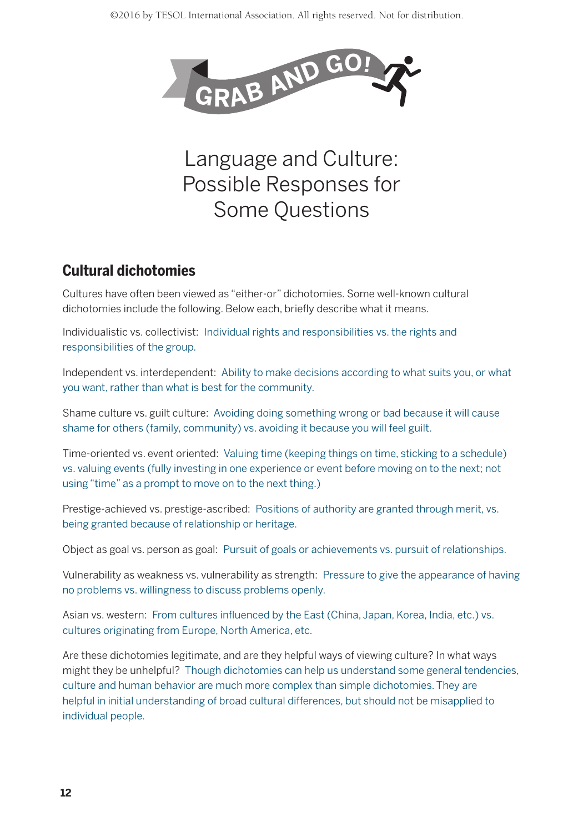

# Language and Culture: Possible Responses for Some Questions

## **Cultural dichotomies**

Cultures have often been viewed as "either-or" dichotomies. Some well-known cultural dichotomies include the following. Below each, briefly describe what it means.

Individualistic vs. collectivist: Individual rights and responsibilities vs. the rights and responsibilities of the group.

Independent vs. interdependent: Ability to make decisions according to what suits you, or what you want, rather than what is best for the community.

Shame culture vs. guilt culture: Avoiding doing something wrong or bad because it will cause shame for others (family, community) vs. avoiding it because you will feel guilt.

Time-oriented vs. event oriented: Valuing time (keeping things on time, sticking to a schedule) vs. valuing events (fully investing in one experience or event before moving on to the next; not using "time" as a prompt to move on to the next thing.)

Prestige-achieved vs. prestige-ascribed: Positions of authority are granted through merit, vs. being granted because of relationship or heritage.

Object as goal vs. person as goal: Pursuit of goals or achievements vs. pursuit of relationships.

Vulnerability as weakness vs. vulnerability as strength: Pressure to give the appearance of having no problems vs. willingness to discuss problems openly.

Asian vs. western: From cultures influenced by the East (China, Japan, Korea, India, etc.) vs. cultures originating from Europe, North America, etc.

Are these dichotomies legitimate, and are they helpful ways of viewing culture? In what ways might they be unhelpful? Though dichotomies can help us understand some general tendencies, culture and human behavior are much more complex than simple dichotomies. They are helpful in initial understanding of broad cultural differences, but should not be misapplied to individual people.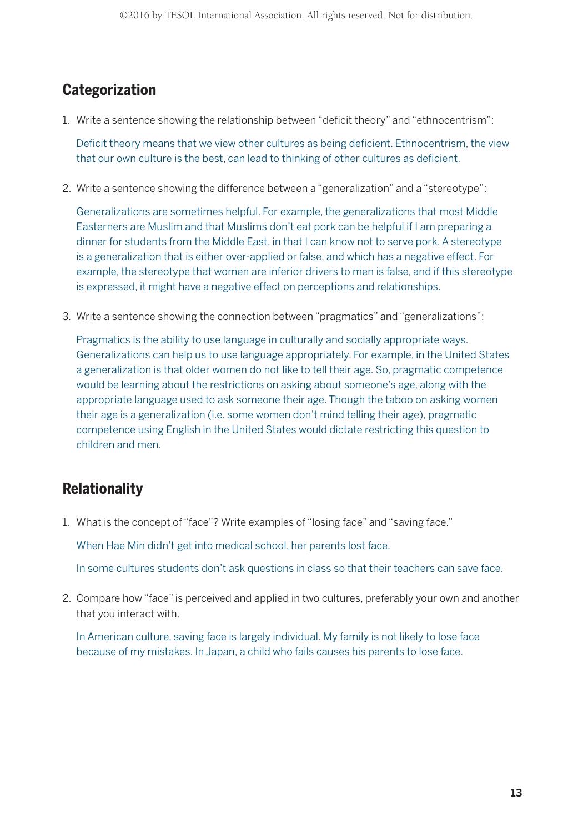## **Categorization**

1. Write a sentence showing the relationship between "deficit theory" and "ethnocentrism":

Deficit theory means that we view other cultures as being deficient. Ethnocentrism, the view that our own culture is the best, can lead to thinking of other cultures as deficient.

2. Write a sentence showing the difference between a "generalization" and a "stereotype":

Generalizations are sometimes helpful. For example, the generalizations that most Middle Easterners are Muslim and that Muslims don't eat pork can be helpful if I am preparing a dinner for students from the Middle East, in that I can know not to serve pork. A stereotype is a generalization that is either over-applied or false, and which has a negative effect. For example, the stereotype that women are inferior drivers to men is false, and if this stereotype is expressed, it might have a negative effect on perceptions and relationships.

3. Write a sentence showing the connection between "pragmatics" and "generalizations":

Pragmatics is the ability to use language in culturally and socially appropriate ways. Generalizations can help us to use language appropriately. For example, in the United States a generalization is that older women do not like to tell their age. So, pragmatic competence would be learning about the restrictions on asking about someone's age, along with the appropriate language used to ask someone their age. Though the taboo on asking women their age is a generalization (i.e. some women don't mind telling their age), pragmatic competence using English in the United States would dictate restricting this question to children and men.

## **Relationality**

1. What is the concept of "face"? Write examples of "losing face" and "saving face."

When Hae Min didn't get into medical school, her parents lost face.

In some cultures students don't ask questions in class so that their teachers can save face.

2. Compare how "face" is perceived and applied in two cultures, preferably your own and another that you interact with.

In American culture, saving face is largely individual. My family is not likely to lose face because of my mistakes. In Japan, a child who fails causes his parents to lose face.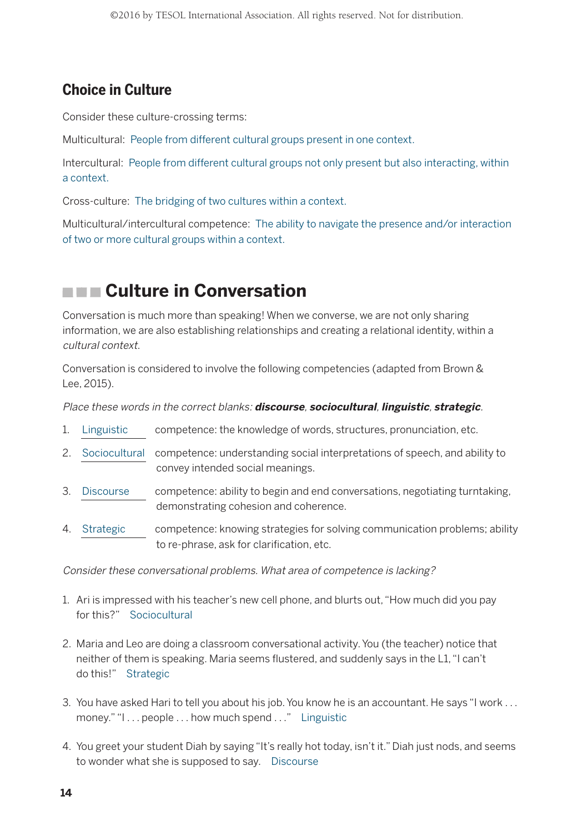## **Choice in Culture**

Consider these culture-crossing terms:

Multicultural: People from different cultural groups present in one context.

Intercultural: People from different cultural groups not only present but also interacting, within a context.

Cross-culture: The bridging of two cultures within a context.

Multicultural/intercultural competence: The ability to navigate the presence and/or interaction of two or more cultural groups within a context.

# **Culture in Conversation**

Conversation is much more than speaking! When we converse, we are not only sharing information, we are also establishing relationships and creating a relational identity, within a cultural context.

Conversation is considered to involve the following competencies (adapted from Brown & Lee, 2015).

Place these words in the correct blanks: **discourse**, **sociocultural**, **linguistic**, **strategic**.

- 1. Linguistic competence: the knowledge of words, structures, pronunciation, etc.
- 2. Sociocultural competence: understanding social interpretations of speech, and ability to convey intended social meanings.
- 3. Discourse competence: ability to begin and end conversations, negotiating turntaking, demonstrating cohesion and coherence.
- 4. Strategic competence: knowing strategies for solving communication problems; ability to re-phrase, ask for clarification, etc.

Consider these conversational problems. What area of competence is lacking?

- 1. Ari is impressed with his teacher's new cell phone, and blurts out, "How much did you pay for this?" Sociocultural
- 2. Maria and Leo are doing a classroom conversational activity. You (the teacher) notice that neither of them is speaking. Maria seems flustered, and suddenly says in the L1, "I can't do this!" Strategic
- 3. You have asked Hari to tell you about his job. You know he is an accountant. He says "I work . . . money." "I . . . people . . . how much spend . . ." Linguistic
- 4. You greet your student Diah by saying "It's really hot today, isn't it." Diah just nods, and seems to wonder what she is supposed to say. Discourse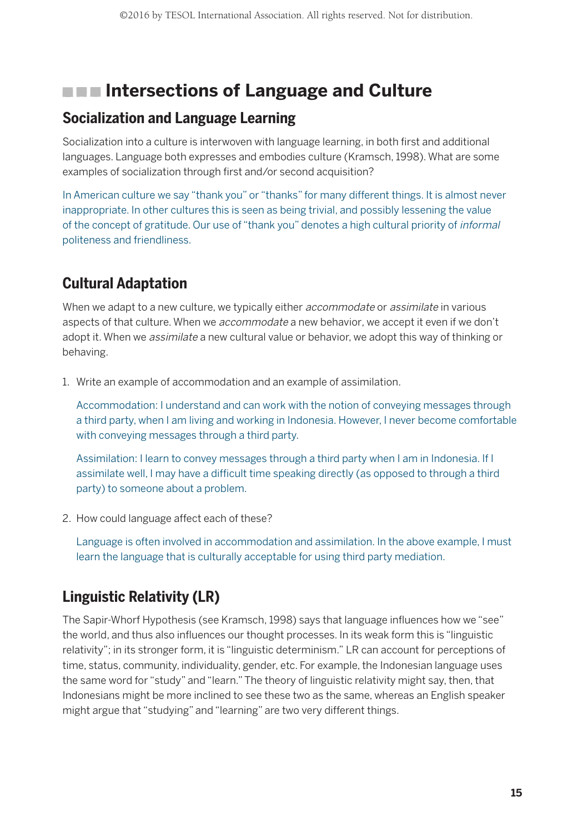## **INDEE Intersections of Language and Culture**

#### **Socialization and Language Learning**

Socialization into a culture is interwoven with language learning, in both first and additional languages. Language both expresses and embodies culture (Kramsch, 1998). What are some examples of socialization through first and/or second acquisition?

In American culture we say "thank you" or "thanks" for many different things. It is almost never inappropriate. In other cultures this is seen as being trivial, and possibly lessening the value of the concept of gratitude. Our use of "thank you" denotes a high cultural priority of informal politeness and friendliness.

## **Cultural Adaptation**

When we adapt to a new culture, we typically either *accommodate* or *assimilate* in various aspects of that culture. When we *accommodate* a new behavior, we accept it even if we don't adopt it. When we *assimilate* a new cultural value or behavior, we adopt this way of thinking or behaving.

1. Write an example of accommodation and an example of assimilation.

Accommodation: I understand and can work with the notion of conveying messages through a third party, when I am living and working in Indonesia. However, I never become comfortable with conveying messages through a third party.

Assimilation: I learn to convey messages through a third party when I am in Indonesia. If I assimilate well, I may have a difficult time speaking directly (as opposed to through a third party) to someone about a problem.

2. How could language affect each of these?

Language is often involved in accommodation and assimilation. In the above example, I must learn the language that is culturally acceptable for using third party mediation.

## **Linguistic Relativity (LR)**

The Sapir-Whorf Hypothesis (see Kramsch, 1998) says that language influences how we "see" the world, and thus also influences our thought processes. In its weak form this is "linguistic relativity"; in its stronger form, it is "linguistic determinism." LR can account for perceptions of time, status, community, individuality, gender, etc. For example, the Indonesian language uses the same word for "study" and "learn." The theory of linguistic relativity might say, then, that Indonesians might be more inclined to see these two as the same, whereas an English speaker might argue that "studying" and "learning" are two very different things.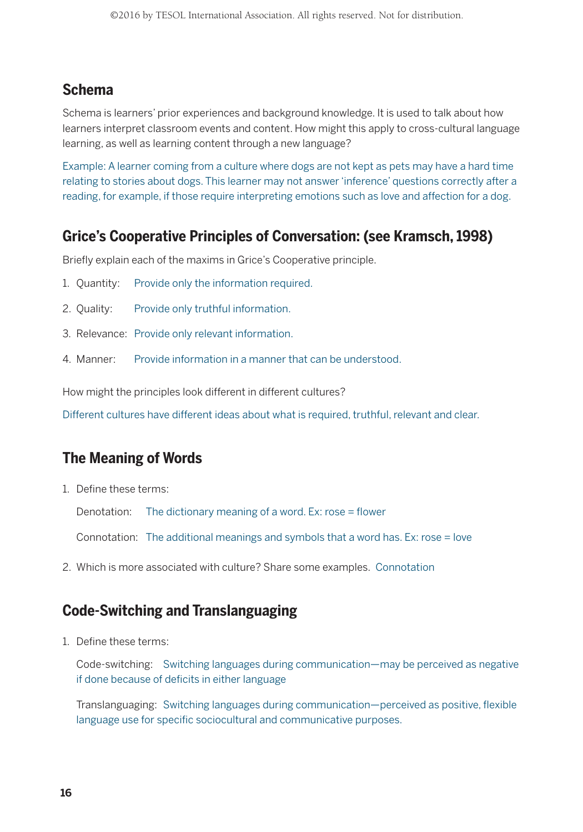### **Schema**

Schema is learners' prior experiences and background knowledge. It is used to talk about how learners interpret classroom events and content. How might this apply to cross-cultural language learning, as well as learning content through a new language?

Example: A learner coming from a culture where dogs are not kept as pets may have a hard time relating to stories about dogs. This learner may not answer 'inference' questions correctly after a reading, for example, if those require interpreting emotions such as love and affection for a dog.

### **Grice's Cooperative Principles of Conversation: (see Kramsch, 1998)**

Briefly explain each of the maxims in Grice's Cooperative principle.

- 1. Quantity: Provide only the information required.
- 2. Quality: Provide only truthful information.
- 3. Relevance: Provide only relevant information.
- 4. Manner: Provide information in a manner that can be understood.

How might the principles look different in different cultures?

Different cultures have different ideas about what is required, truthful, relevant and clear.

#### **The Meaning of Words**

1. Define these terms:

Denotation: The dictionary meaning of a word. Ex: rose = flower

Connotation: The additional meanings and symbols that a word has. Ex: rose = love

2. Which is more associated with culture? Share some examples. Connotation

#### **Code-Switching and Translanguaging**

1. Define these terms:

Code-switching: Switching languages during communication—may be perceived as negative if done because of deficits in either language

Translanguaging: Switching languages during communication—perceived as positive, flexible language use for specific sociocultural and communicative purposes.